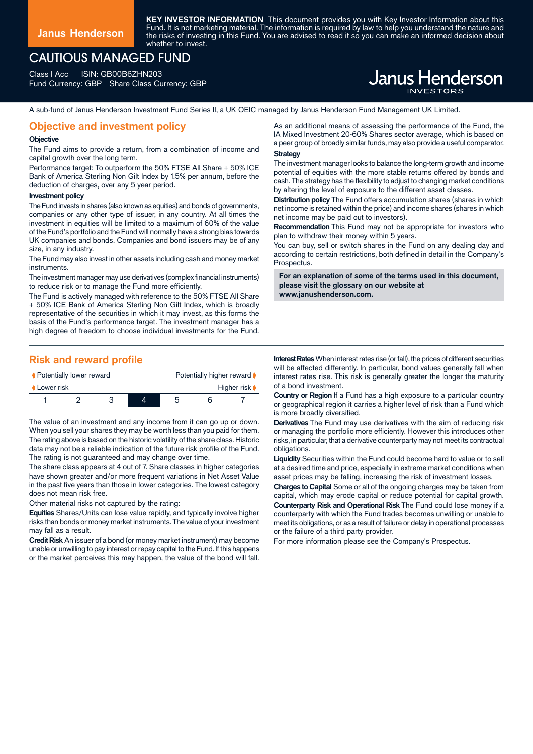**KEY INVESTOR INFORMATION** This document provides you with Key Investor Information about this Fund. It is not marketing material. The information is required by law to help you understand the nature and the risks of investing in this Fund. You are advised to read it so you can make an informed decision about whether to invest.

## CAUTIOUS MANAGED FUND

Class I Acc ISIN: GB00B6ZHN203 Fund Currency: GBP Share Class Currency: GBP

# Janus Henderson

A sub-fund of Janus Henderson Investment Fund Series II, a UK OEIC managed by Janus Henderson Fund Management UK Limited.

## **Objective and investment policy**

#### **Objective**

The Fund aims to provide a return, from a combination of income and capital growth over the long term.

Performance target: To outperform the 50% FTSE All Share + 50% ICE Bank of America Sterling Non Gilt Index by 1.5% per annum, before the deduction of charges, over any 5 year period.

#### **Investment policy**

The Fund invests in shares (also known as equities) and bonds of governments, companies or any other type of issuer, in any country. At all times the investment in equities will be limited to a maximum of 60% of the value of the Fund's portfolio and the Fund will normally have a strong bias towards UK companies and bonds. Companies and bond issuers may be of any size, in any industry.

The Fund may also invest in other assets including cash and money market instruments.

The investment manager may use derivatives (complex financial instruments) to reduce risk or to manage the Fund more efficiently.

The Fund is actively managed with reference to the 50% FTSE All Share + 50% ICE Bank of America Sterling Non Gilt Index, which is broadly representative of the securities in which it may invest, as this forms the basis of the Fund's performance target. The investment manager has a high degree of freedom to choose individual investments for the Fund.

## **Risk and reward profile**

| ♦ Potentially lower reward |  |  |  | Potentially higher reward ▶ |  |                                   |
|----------------------------|--|--|--|-----------------------------|--|-----------------------------------|
| Lower risk                 |  |  |  |                             |  | Higher risk $\blacktriangleright$ |
|                            |  |  |  |                             |  |                                   |

The value of an investment and any income from it can go up or down. When you sell your shares they may be worth less than you paid for them. The rating above is based on the historic volatility of the share class. Historic data may not be a reliable indication of the future risk profile of the Fund. The rating is not guaranteed and may change over time.

The share class appears at 4 out of 7. Share classes in higher categories have shown greater and/or more frequent variations in Net Asset Value in the past five years than those in lower categories. The lowest category does not mean risk free.

Other material risks not captured by the rating:

**Equities** Shares/Units can lose value rapidly, and typically involve higher risks than bonds or money market instruments. The value of your investment may fall as a result.

**Credit Risk** An issuer of a bond (or money market instrument) may become unable or unwilling to pay interest or repay capital to the Fund. If this happens or the market perceives this may happen, the value of the bond will fall.

As an additional means of assessing the performance of the Fund, the IA Mixed Investment 20-60% Shares sector average, which is based on a peer group of broadly similar funds, may also provide a useful comparator. **Strategy**

The investment manager looks to balance the long-term growth and income potential of equities with the more stable returns offered by bonds and cash. The strategy has the flexibility to adjust to changing market conditions by altering the level of exposure to the different asset classes.

**Distribution policy** The Fund offers accumulation shares (shares in which net income is retained within the price) and income shares (shares in which net income may be paid out to investors).

**Recommendation** This Fund may not be appropriate for investors who plan to withdraw their money within 5 years.

You can buy, sell or switch shares in the Fund on any dealing day and according to certain restrictions, both defined in detail in the Company's Prospectus.

**For an explanation of some of the terms used in this document, please visit the glossary on our website at www.janushenderson.com.**

**Interest Rates** When interest rates rise (or fall), the prices of different securities will be affected differently. In particular, bond values generally fall when interest rates rise. This risk is generally greater the longer the maturity of a bond investment.

**Country or Region** If a Fund has a high exposure to a particular country or geographical region it carries a higher level of risk than a Fund which is more broadly diversified.

**Derivatives** The Fund may use derivatives with the aim of reducing risk or managing the portfolio more efficiently. However this introduces other risks, in particular, that a derivative counterparty may not meet its contractual obligations.

**Liquidity** Securities within the Fund could become hard to value or to sell at a desired time and price, especially in extreme market conditions when asset prices may be falling, increasing the risk of investment losses.

**Charges to Capital** Some or all of the ongoing charges may be taken from capital, which may erode capital or reduce potential for capital growth. **Counterparty Risk and Operational Risk** The Fund could lose money if a counterparty with which the Fund trades becomes unwilling or unable to meet its obligations, or as a result of failure or delay in operational processes or the failure of a third party provider.

For more information please see the Company's Prospectus.